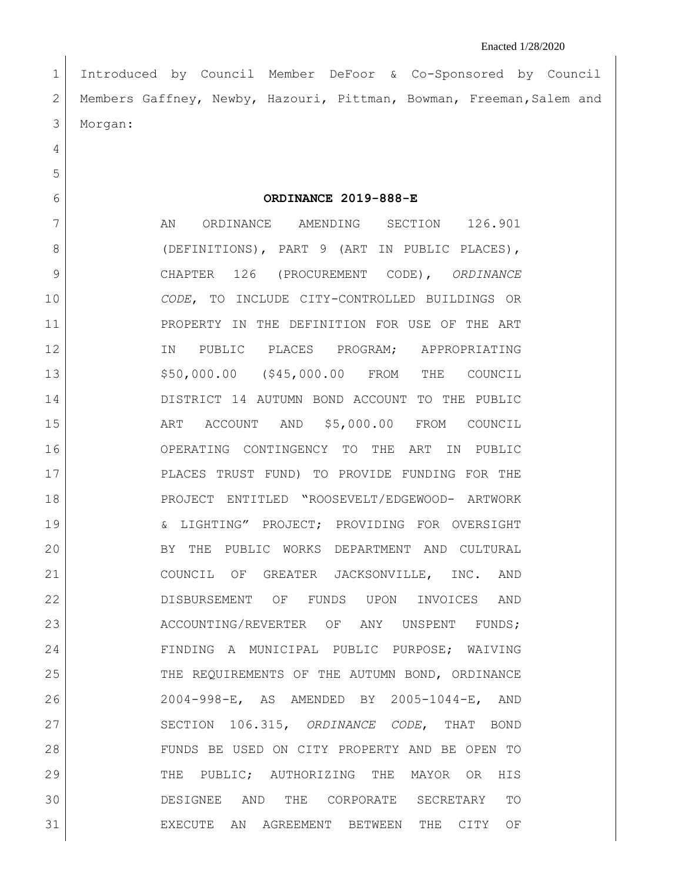Introduced by Council Member DeFoor & Co-Sponsored by Council Members Gaffney, Newby, Hazouri, Pittman, Bowman, Freeman,Salem and Morgan:

**ORDINANCE 2019-888-E**

7 AN ORDINANCE AMENDING SECTION 126.901 8 (DEFINITIONS), PART 9 (ART IN PUBLIC PLACES), CHAPTER 126 (PROCUREMENT CODE), *ORDINANCE CODE*, TO INCLUDE CITY-CONTROLLED BUILDINGS OR PROPERTY IN THE DEFINITION FOR USE OF THE ART 12 IN PUBLIC PLACES PROGRAM; APPROPRIATING \$50,000.00 (\$45,000.00 FROM THE COUNCIL DISTRICT 14 AUTUMN BOND ACCOUNT TO THE PUBLIC 15 ART ACCOUNT AND \$5,000.00 FROM COUNCIL OPERATING CONTINGENCY TO THE ART IN PUBLIC PLACES TRUST FUND) TO PROVIDE FUNDING FOR THE PROJECT ENTITLED "ROOSEVELT/EDGEWOOD- ARTWORK & LIGHTING" PROJECT; PROVIDING FOR OVERSIGHT BY THE PUBLIC WORKS DEPARTMENT AND CULTURAL COUNCIL OF GREATER JACKSONVILLE, INC. AND DISBURSEMENT OF FUNDS UPON INVOICES AND 23 ACCOUNTING/REVERTER OF ANY UNSPENT FUNDS; FINDING A MUNICIPAL PUBLIC PURPOSE; WAIVING THE REQUIREMENTS OF THE AUTUMN BOND, ORDINANCE 2004-998-E, AS AMENDED BY 2005-1044-E, AND SECTION 106.315, *ORDINANCE CODE*, THAT BOND FUNDS BE USED ON CITY PROPERTY AND BE OPEN TO THE PUBLIC; AUTHORIZING THE MAYOR OR HIS DESIGNEE AND THE CORPORATE SECRETARY TO EXECUTE AN AGREEMENT BETWEEN THE CITY OF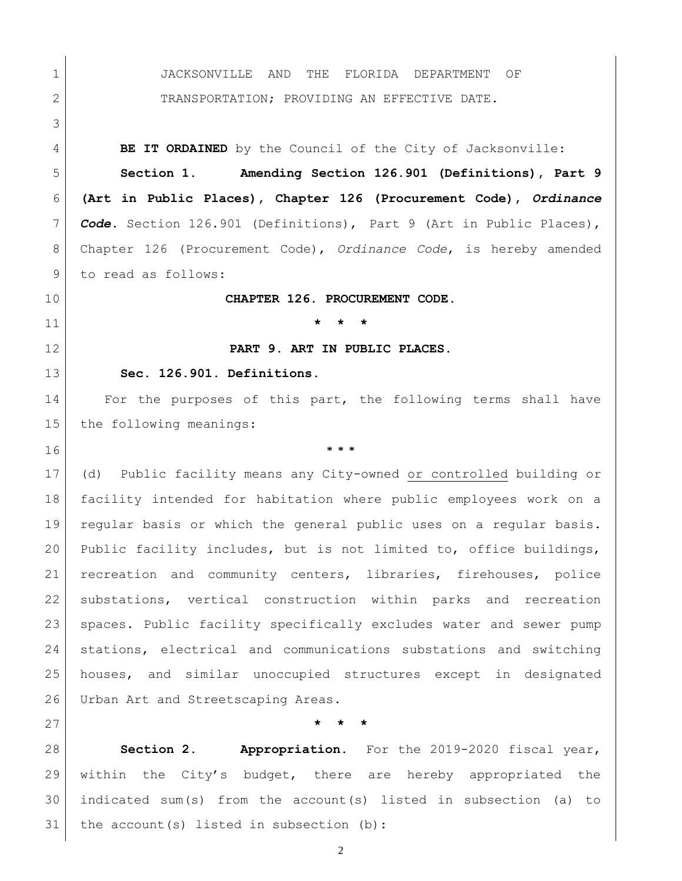JACKSONVILLE AND THE FLORIDA DEPARTMENT OF 2 TRANSPORTATION; PROVIDING AN EFFECTIVE DATE. **BE IT ORDAINED** by the Council of the City of Jacksonville: **Section 1. Amending Section 126.901 (Definitions), Part 9 (Art in Public Places), Chapter 126 (Procurement Code),** *Ordinance Code***.** Section 126.901 (Definitions), Part 9 (Art in Public Places), Chapter 126 (Procurement Code), *Ordinance Code*, is hereby amended 9 to read as follows: **CHAPTER 126. PROCUREMENT CODE. \* \* \* PART 9. ART IN PUBLIC PLACES. Sec. 126.901. Definitions.**  14 For the purposes of this part, the following terms shall have 15 the following meanings: **\* \* \*** (d) Public facility means any City-owned or controlled building or facility intended for habitation where public employees work on a regular basis or which the general public uses on a regular basis. Public facility includes, but is not limited to, office buildings, recreation and community centers, libraries, firehouses, police substations, vertical construction within parks and recreation spaces. Public facility specifically excludes water and sewer pump stations, electrical and communications substations and switching houses, and similar unoccupied structures except in designated 26 Urban Art and Streetscaping Areas. **\* \* \* Section 2. Appropriation.** For the 2019-2020 fiscal year, within the City's budget, there are hereby appropriated the indicated sum(s) from the account(s) listed in subsection (a) to

31 | the account(s) listed in subsection (b):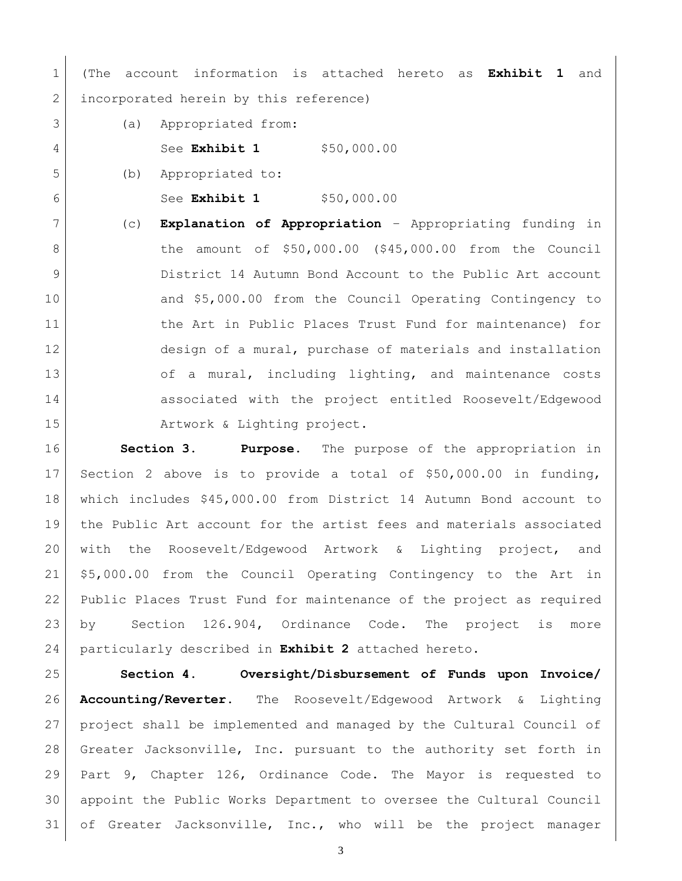(The account information is attached hereto as **Exhibit 1** and 2 incorporated herein by this reference)

- (a) Appropriated from:
- 4 See **Exhibit 1** \$50,000.00

(b) Appropriated to:

See **Exhibit 1** \$50,000.00

 (c) **Explanation of Appropriation** – Appropriating funding in 8 | the amount of \$50,000.00 (\$45,000.00 from the Council District 14 Autumn Bond Account to the Public Art account 10 and \$5,000.00 from the Council Operating Contingency to 11 1 the Art in Public Places Trust Fund for maintenance) for design of a mural, purchase of materials and installation 13 of a mural, including lighting, and maintenance costs associated with the project entitled Roosevelt/Edgewood 15 | **Artwork & Lighting project.** 

 **Section 3. Purpose.** The purpose of the appropriation in Section 2 above is to provide a total of \$50,000.00 in funding, which includes \$45,000.00 from District 14 Autumn Bond account to the Public Art account for the artist fees and materials associated with the Roosevelt/Edgewood Artwork & Lighting project, and \$5,000.00 from the Council Operating Contingency to the Art in Public Places Trust Fund for maintenance of the project as required by Section 126.904, Ordinance Code. The project is more particularly described in **Exhibit 2** attached hereto.

 **Section 4. Oversight/Disbursement of Funds upon Invoice/ Accounting/Reverter.** The Roosevelt/Edgewood Artwork & Lighting project shall be implemented and managed by the Cultural Council of Greater Jacksonville, Inc. pursuant to the authority set forth in Part 9, Chapter 126, Ordinance Code. The Mayor is requested to appoint the Public Works Department to oversee the Cultural Council 31 of Greater Jacksonville, Inc., who will be the project manager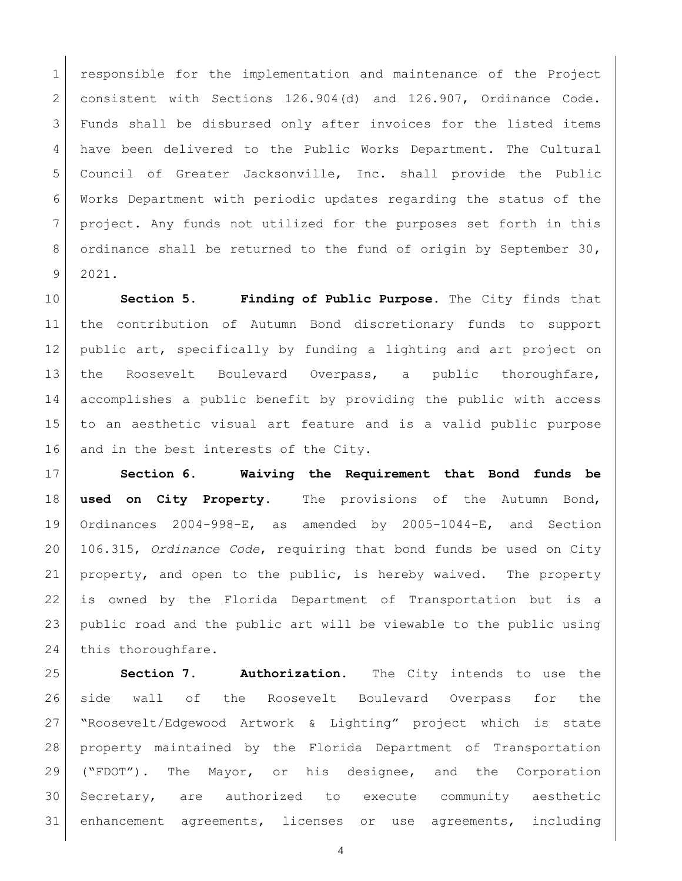responsible for the implementation and maintenance of the Project consistent with Sections 126.904(d) and 126.907, Ordinance Code. Funds shall be disbursed only after invoices for the listed items have been delivered to the Public Works Department. The Cultural Council of Greater Jacksonville, Inc. shall provide the Public Works Department with periodic updates regarding the status of the project. Any funds not utilized for the purposes set forth in this 8 ordinance shall be returned to the fund of origin by September 30, 2021.

 **Section 5. Finding of Public Purpose.** The City finds that the contribution of Autumn Bond discretionary funds to support 12 | public art, specifically by funding a lighting and art project on the Roosevelt Boulevard Overpass, a public thoroughfare, accomplishes a public benefit by providing the public with access to an aesthetic visual art feature and is a valid public purpose 16 and in the best interests of the City.

 **Section 6. Waiving the Requirement that Bond funds be used on City Property.** The provisions of the Autumn Bond, Ordinances 2004-998-E, as amended by 2005-1044-E, and Section 106.315, *Ordinance Code*, requiring that bond funds be used on City property, and open to the public, is hereby waived. The property is owned by the Florida Department of Transportation but is a public road and the public art will be viewable to the public using 24 this thoroughfare.

 **Section 7. Authorization**. The City intends to use the side wall of the Roosevelt Boulevard Overpass for the "Roosevelt/Edgewood Artwork & Lighting" project which is state property maintained by the Florida Department of Transportation ("FDOT"). The Mayor, or his designee, and the Corporation Secretary, are authorized to execute community aesthetic enhancement agreements, licenses or use agreements, including